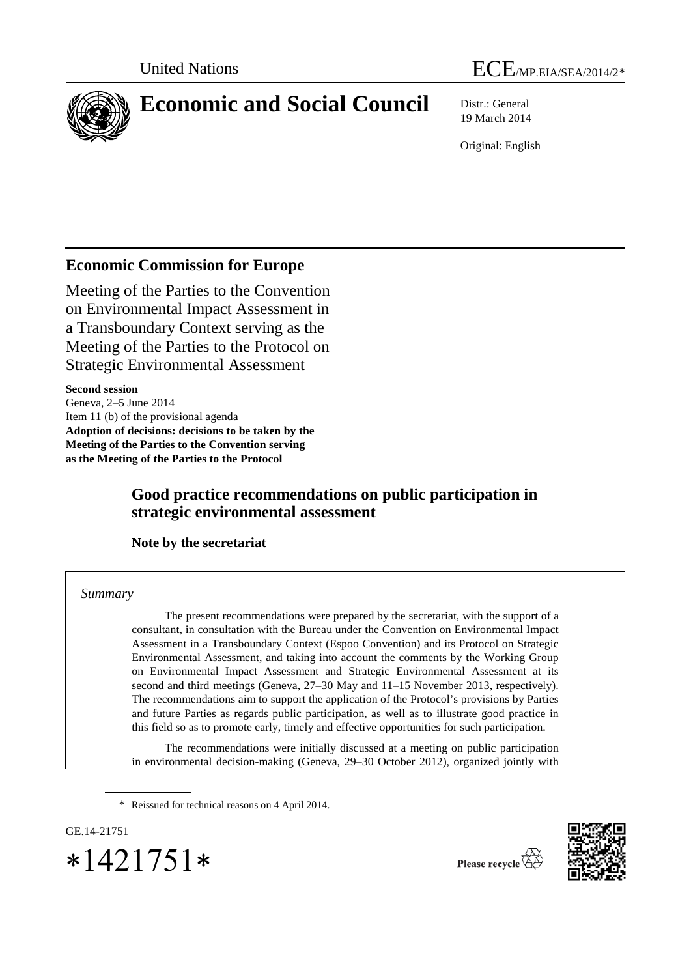

19 March 2014

Original: English

# **Economic Commission for Europe**

Meeting of the Parties to the Convention on Environmental Impact Assessment in a Transboundary Context serving as the Meeting of the Parties to the Protocol on Strategic Environmental Assessment

**Second session** Geneva, 2–5 June 2014 Item 11 (b) of the provisional agenda **Adoption of decisions: decisions to be taken by the Meeting of the Parties to the Convention serving as the Meeting of the Parties to the Protocol** 

# **Good practice recommendations on public participation in strategic environmental assessment**

**Note by the secretariat** 

*Summary*

The present recommendations were prepared by the secretariat, with the support of a consultant, in consultation with the Bureau under the Convention on Environmental Impact Assessment in a Transboundary Context (Espoo Convention) and its Protocol on Strategic Environmental Assessment, and taking into account the comments by the Working Group on Environmental Impact Assessment and Strategic Environmental Assessment at its second and third meetings (Geneva, 27–30 May and 11–15 November 2013, respectively). The recommendations aim to support the application of the Protocol's provisions by Parties and future Parties as regards public participation, as well as to illustrate good practice in this field so as to promote early, timely and effective opportunities for such participation.

The recommendations were initially discussed at a meeting on public participation in environmental decision-making (Geneva, 29–30 October 2012), organized jointly with

\* Reissued for technical reasons on 4 April 2014.

<span id="page-0-0"></span>GE.14-21751 ∗1421751∗



Please recycle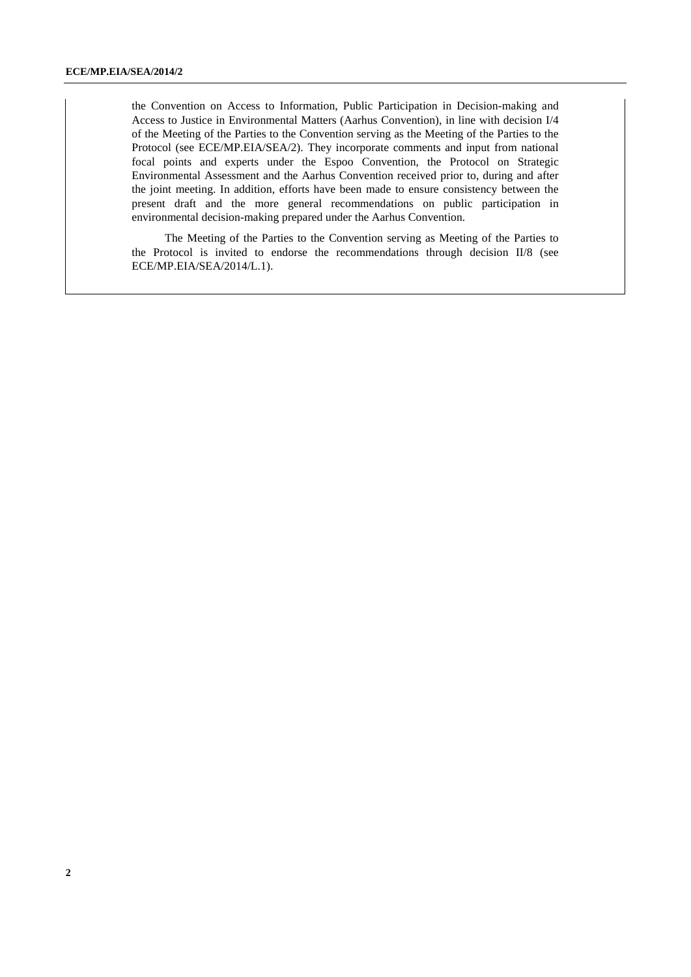the Convention on Access to Information, Public Participation in Decision-making and Access to Justice in Environmental Matters (Aarhus Convention), in line with decision I/4 of the Meeting of the Parties to the Convention serving as the Meeting of the Parties to the Protocol (see ECE/MP.EIA/SEA/2). They incorporate comments and input from national focal points and experts under the Espoo Convention, the Protocol on Strategic Environmental Assessment and the Aarhus Convention received prior to, during and after the joint meeting. In addition, efforts have been made to ensure consistency between the present draft and the more general recommendations on public participation in environmental decision-making prepared under the Aarhus Convention.

The Meeting of the Parties to the Convention serving as Meeting of the Parties to the Protocol is invited to endorse the recommendations through decision II/8 (see ECE/MP.EIA/SEA/2014/L.1).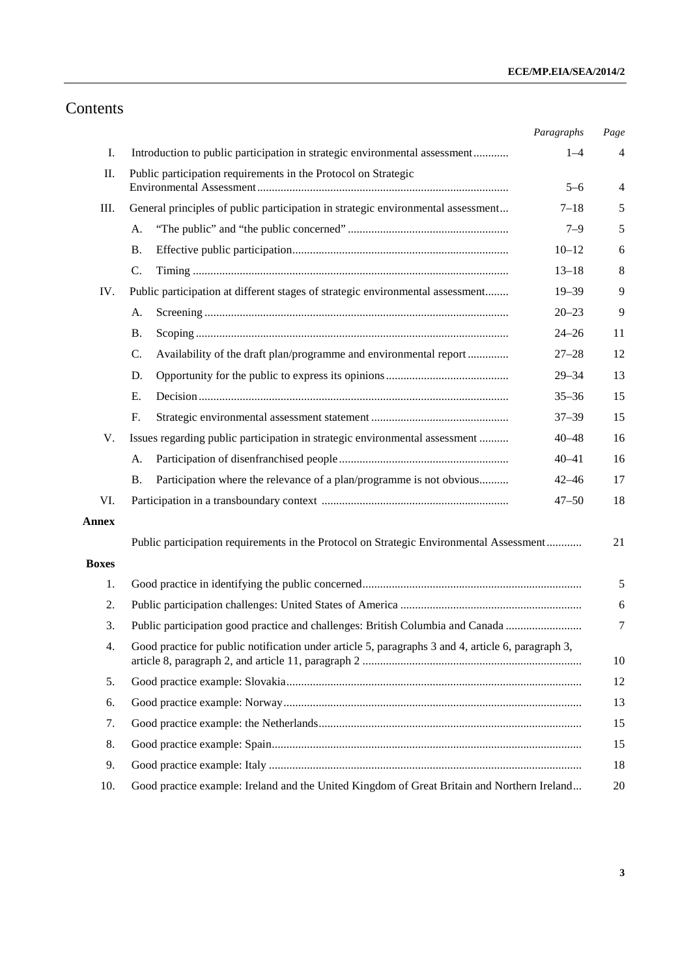# Contents

|              |                                                                                                          | Paragraphs | Page           |
|--------------|----------------------------------------------------------------------------------------------------------|------------|----------------|
| Ι.           | Introduction to public participation in strategic environmental assessment                               | $1 - 4$    | $\overline{4}$ |
| П.           | Public participation requirements in the Protocol on Strategic                                           |            |                |
|              |                                                                                                          | $5 - 6$    | $\overline{4}$ |
| III.         | General principles of public participation in strategic environmental assessment                         | $7 - 18$   | 5              |
|              | A.                                                                                                       | $7 - 9$    | 5              |
|              | <b>B.</b>                                                                                                | $10 - 12$  | 6              |
|              | C.                                                                                                       | $13 - 18$  | 8              |
| IV.          | Public participation at different stages of strategic environmental assessment                           | $19 - 39$  | 9              |
|              | A.                                                                                                       | $20 - 23$  | 9              |
|              | <b>B.</b>                                                                                                | $24 - 26$  | 11             |
|              | Availability of the draft plan/programme and environmental report<br>C.                                  | $27 - 28$  | 12             |
|              | D.                                                                                                       | $29 - 34$  | 13             |
|              | Е.                                                                                                       | $35 - 36$  | 15             |
|              | F.                                                                                                       | $37 - 39$  | 15             |
| V.           | Issues regarding public participation in strategic environmental assessment                              | $40 - 48$  | 16             |
|              | А.                                                                                                       | $40 - 41$  | 16             |
|              | <b>B.</b><br>Participation where the relevance of a plan/programme is not obvious                        | $42 - 46$  | 17             |
| VI.          |                                                                                                          | $47 - 50$  | 18             |
| <b>Annex</b> |                                                                                                          |            |                |
|              | Public participation requirements in the Protocol on Strategic Environmental Assessment                  |            | 21             |
| <b>Boxes</b> |                                                                                                          |            |                |
| 1.           |                                                                                                          |            |                |
| 2.           |                                                                                                          |            |                |
| 3.           | Public participation good practice and challenges: British Columbia and Canada                           |            |                |
| 4.           | Good practice for public notification under article 5, paragraphs 3 and 4, article 6, paragraph 3,<br>10 |            |                |
| 5.           | 12                                                                                                       |            |                |
| 6.           | 13                                                                                                       |            |                |
| 7.           | 15                                                                                                       |            |                |
| 8.           | 15                                                                                                       |            |                |
| 9.           | 18                                                                                                       |            |                |
| 10.          | Good practice example: Ireland and the United Kingdom of Great Britain and Northern Ireland<br>20        |            |                |
|              |                                                                                                          |            |                |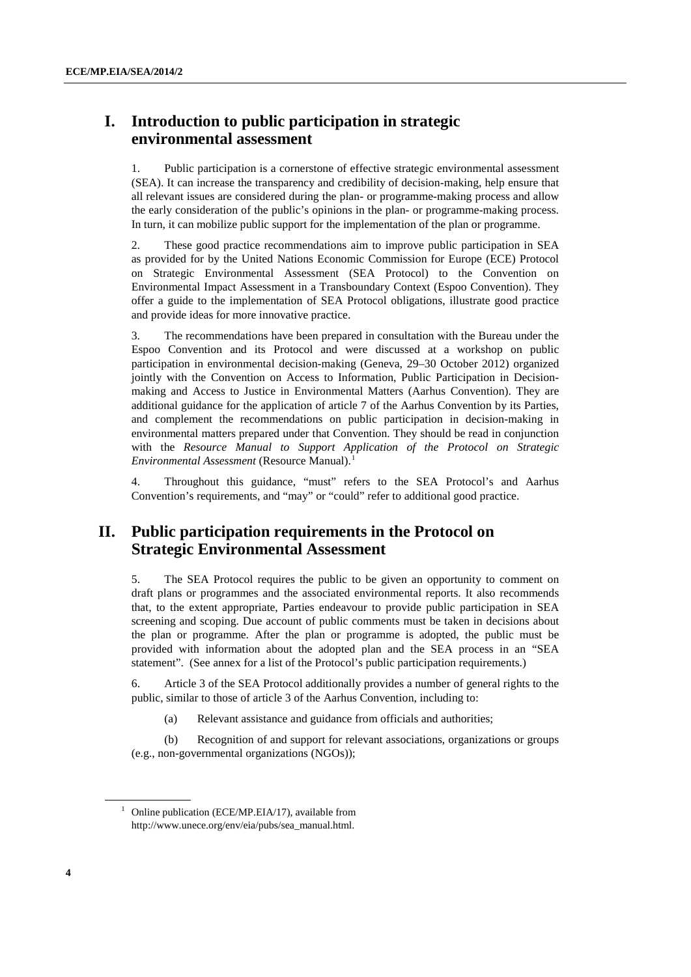# **I. Introduction to public participation in strategic environmental assessment**

1. Public participation is a cornerstone of effective strategic environmental assessment (SEA). It can increase the transparency and credibility of decision-making, help ensure that all relevant issues are considered during the plan- or programme-making process and allow the early consideration of the public's opinions in the plan- or programme-making process. In turn, it can mobilize public support for the implementation of the plan or programme.

2. These good practice recommendations aim to improve public participation in SEA as provided for by the United Nations Economic Commission for Europe (ECE) Protocol on Strategic Environmental Assessment (SEA Protocol) to the Convention on Environmental Impact Assessment in a Transboundary Context (Espoo Convention). They offer a guide to the implementation of SEA Protocol obligations, illustrate good practice and provide ideas for more innovative practice.

3. The recommendations have been prepared in consultation with the Bureau under the Espoo Convention and its Protocol and were discussed at a workshop on public participation in environmental decision-making (Geneva, 29–30 October 2012) organized jointly with the Convention on Access to Information, Public Participation in Decisionmaking and Access to Justice in Environmental Matters (Aarhus Convention). They are additional guidance for the application of article 7 of the Aarhus Convention by its Parties, and complement the recommendations on public participation in decision-making in environmental matters prepared under that Convention. They should be read in conjunction with the *Resource Manual to Support Application of the Protocol on Strategic Environmental Assessment* (Resource Manual).<sup>[1](#page-3-0)</sup>

4. Throughout this guidance, "must" refers to the SEA Protocol's and Aarhus Convention's requirements, and "may" or "could" refer to additional good practice.

# **II. Public participation requirements in the Protocol on Strategic Environmental Assessment**

5. The SEA Protocol requires the public to be given an opportunity to comment on draft plans or programmes and the associated environmental reports. It also recommends that, to the extent appropriate, Parties endeavour to provide public participation in SEA screening and scoping. Due account of public comments must be taken in decisions about the plan or programme. After the plan or programme is adopted, the public must be provided with information about the adopted plan and the SEA process in an "SEA statement". (See annex for a list of the Protocol's public participation requirements.)

6. Article 3 of the SEA Protocol additionally provides a number of general rights to the public, similar to those of article 3 of the Aarhus Convention, including to:

(a) Relevant assistance and guidance from officials and authorities;

(b) Recognition of and support for relevant associations, organizations or groups (e.g., non-governmental organizations (NGOs));

<span id="page-3-0"></span><sup>&</sup>lt;sup>1</sup> Online publication (ECE/MP.EIA/17), available from http://www.unece.org/env/eia/pubs/sea\_manual.html.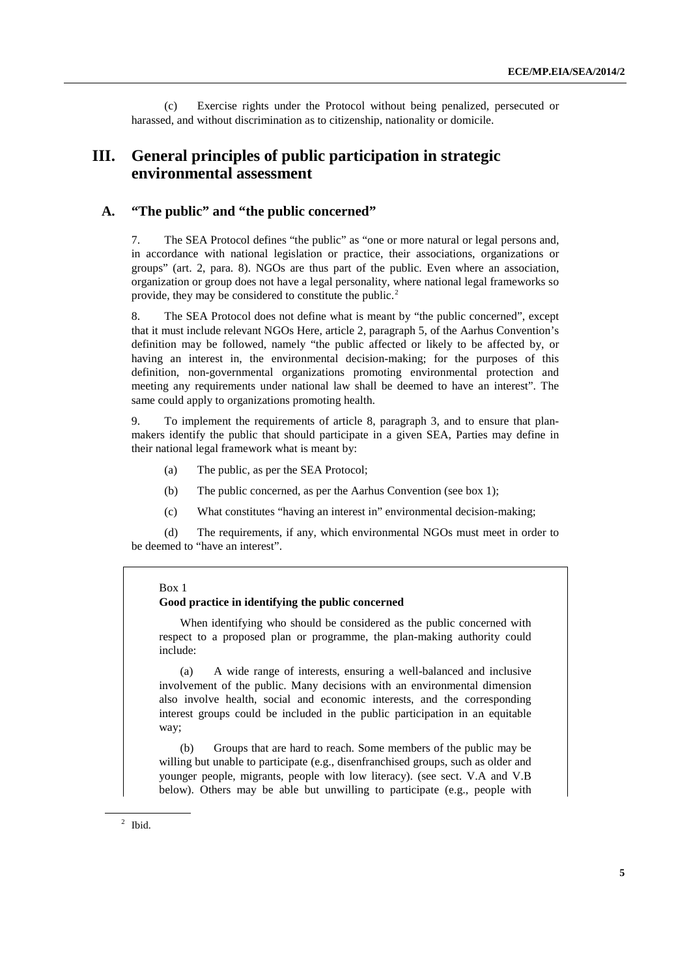(c) Exercise rights under the Protocol without being penalized, persecuted or harassed, and without discrimination as to citizenship, nationality or domicile.

# **III. General principles of public participation in strategic environmental assessment**

# **A. "The public" and "the public concerned"**

7. The SEA Protocol defines "the public" as "one or more natural or legal persons and, in accordance with national legislation or practice, their associations, organizations or groups" (art. 2, para. 8). NGOs are thus part of the public. Even where an association, organization or group does not have a legal personality, where national legal frameworks so provide, they may be considered to constitute the public.<sup>[2](#page-4-0)</sup>

8. The SEA Protocol does not define what is meant by "the public concerned", except that it must include relevant NGOs Here, article 2, paragraph 5, of the Aarhus Convention's definition may be followed, namely "the public affected or likely to be affected by, or having an interest in, the environmental decision-making; for the purposes of this definition, non-governmental organizations promoting environmental protection and meeting any requirements under national law shall be deemed to have an interest". The same could apply to organizations promoting health.

9. To implement the requirements of article 8, paragraph 3, and to ensure that planmakers identify the public that should participate in a given SEA, Parties may define in their national legal framework what is meant by:

- (a) The public, as per the SEA Protocol;
- (b) The public concerned, as per the Aarhus Convention (see box 1);
- (c) What constitutes "having an interest in" environmental decision-making;

(d) The requirements, if any, which environmental NGOs must meet in order to be deemed to "have an interest".

#### Box 1

### **Good practice in identifying the public concerned**

When identifying who should be considered as the public concerned with respect to a proposed plan or programme, the plan-making authority could include:

(a) A wide range of interests, ensuring a well-balanced and inclusive involvement of the public. Many decisions with an environmental dimension also involve health, social and economic interests, and the corresponding interest groups could be included in the public participation in an equitable way;

(b) Groups that are hard to reach. Some members of the public may be willing but unable to participate (e.g., disenfranchised groups, such as older and younger people, migrants, people with low literacy). (see sect. V.A and V.B below). Others may be able but unwilling to participate (e.g., people with

<span id="page-4-0"></span><sup>2</sup> Ibid.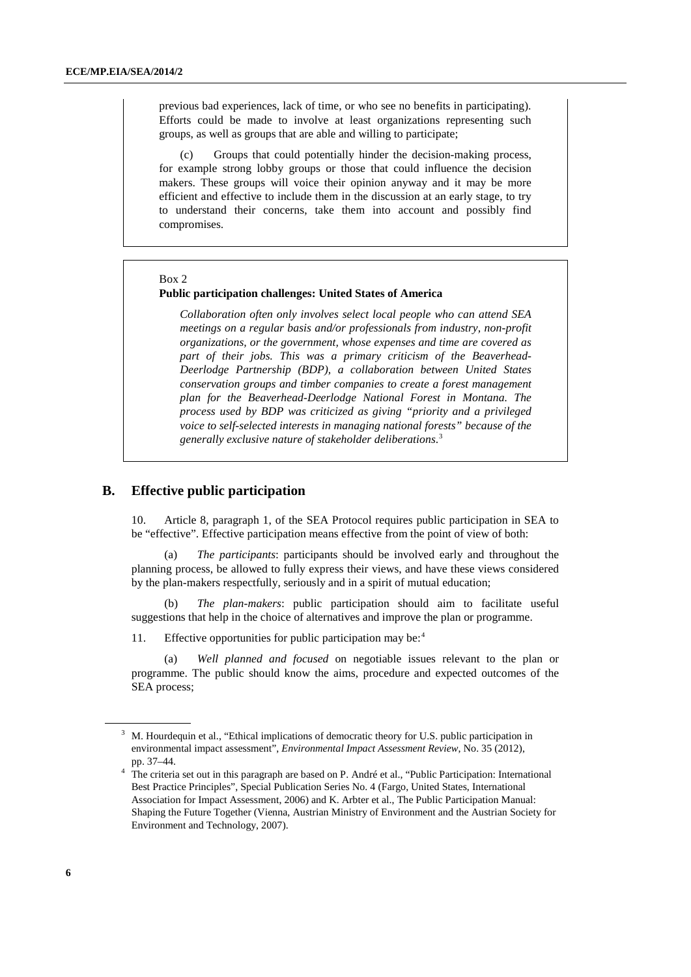previous bad experiences, lack of time, or who see no benefits in participating). Efforts could be made to involve at least organizations representing such groups, as well as groups that are able and willing to participate;

(c) Groups that could potentially hinder the decision-making process, for example strong lobby groups or those that could influence the decision makers. These groups will voice their opinion anyway and it may be more efficient and effective to include them in the discussion at an early stage, to try to understand their concerns, take them into account and possibly find compromises.

#### Box 2

#### **Public participation challenges: United States of America**

*Collaboration often only involves select local people who can attend SEA meetings on a regular basis and/or professionals from industry, non-profit organizations, or the government, whose expenses and time are covered as part of their jobs. This was a primary criticism of the Beaverhead-Deerlodge Partnership (BDP), a collaboration between United States conservation groups and timber companies to create a forest management plan for the Beaverhead-Deerlodge National Forest in Montana. The process used by BDP was criticized as giving "priority and a privileged voice to self-selected interests in managing national forests" because of the generally exclusive nature of stakeholder deliberations*. [3](#page-5-0)

## **B. Effective public participation**

10. Article 8, paragraph 1, of the SEA Protocol requires public participation in SEA to be "effective". Effective participation means effective from the point of view of both:

(a) *The participants*: participants should be involved early and throughout the planning process, be allowed to fully express their views, and have these views considered by the plan-makers respectfully, seriously and in a spirit of mutual education;

(b) *The plan-makers*: public participation should aim to facilitate useful suggestions that help in the choice of alternatives and improve the plan or programme.

11. Effective opportunities for public participation may be:<sup>[4](#page-5-0)</sup>

(a) *Well planned and focused* on negotiable issues relevant to the plan or programme. The public should know the aims, procedure and expected outcomes of the SEA process;

<sup>&</sup>lt;sup>3</sup> M. Hourdequin et al., "Ethical implications of democratic theory for U.S. public participation in environmental impact assessment", *Environmental Impact Assessment Review*, No. 35 (2012), pp. 37–44.

<span id="page-5-0"></span><sup>&</sup>lt;sup>4</sup> The criteria set out in this paragraph are based on P. André et al., "Public Participation: International Best Practice Principles", Special Publication Series No. 4 (Fargo, United States, International Association for Impact Assessment, 2006) and K. Arbter et al., The Public Participation Manual: Shaping the Future Together (Vienna, Austrian Ministry of Environment and the Austrian Society for Environment and Technology, 2007).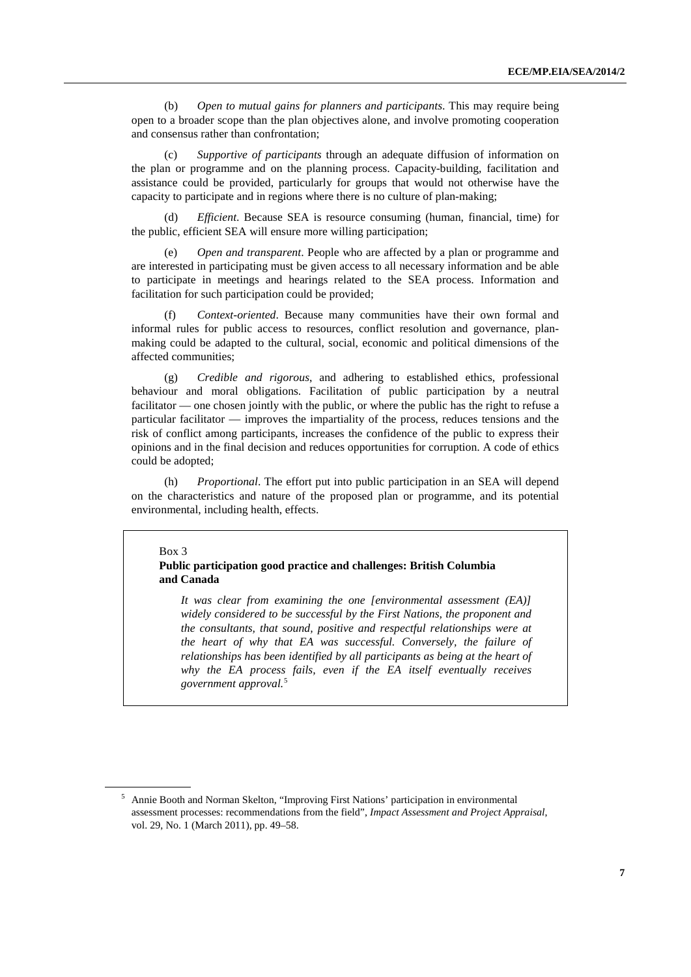(b) *Open to mutual gains for planners and participants*. This may require being open to a broader scope than the plan objectives alone, and involve promoting cooperation and consensus rather than confrontation;

Supportive of participants through an adequate diffusion of information on the plan or programme and on the planning process. Capacity-building, facilitation and assistance could be provided, particularly for groups that would not otherwise have the capacity to participate and in regions where there is no culture of plan-making;

(d) *Efficient*. Because SEA is resource consuming (human, financial, time) for the public, efficient SEA will ensure more willing participation;

(e) *Open and transparent*. People who are affected by a plan or programme and are interested in participating must be given access to all necessary information and be able to participate in meetings and hearings related to the SEA process. Information and facilitation for such participation could be provided;

(f) *Context-oriented*. Because many communities have their own formal and informal rules for public access to resources, conflict resolution and governance, planmaking could be adapted to the cultural, social, economic and political dimensions of the affected communities;

(g) *Credible and rigorous*, and adhering to established ethics, professional behaviour and moral obligations. Facilitation of public participation by a neutral facilitator — one chosen jointly with the public, or where the public has the right to refuse a particular facilitator — improves the impartiality of the process, reduces tensions and the risk of conflict among participants, increases the confidence of the public to express their opinions and in the final decision and reduces opportunities for corruption. A code of ethics could be adopted;

(h) *Proportional*. The effort put into public participation in an SEA will depend on the characteristics and nature of the proposed plan or programme, and its potential environmental, including health, effects.

#### Box 3

#### **Public participation good practice and challenges: British Columbia and Canada**

*It was clear from examining the one [environmental assessment (EA)] widely considered to be successful by the First Nations, the proponent and the consultants, that sound, positive and respectful relationships were at the heart of why that EA was successful. Conversely, the failure of relationships has been identified by all participants as being at the heart of why the EA process fails, even if the EA itself eventually receives government approval.*[5](#page-6-0)

<span id="page-6-0"></span><sup>5</sup> Annie Booth and Norman Skelton, "Improving First Nations' participation in environmental assessment processes: recommendations from the field", *Impact Assessment and Project Appraisal*, vol. 29, No. 1 (March 2011), pp. 49–58.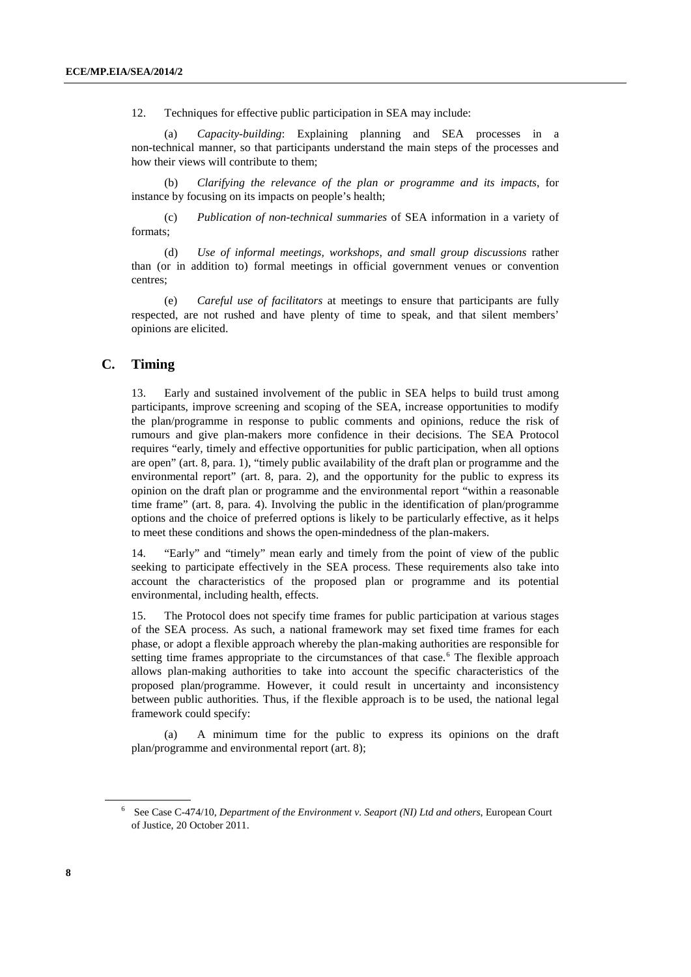12. Techniques for effective public participation in SEA may include:

(a) *Capacity-building*: Explaining planning and SEA processes in a non-technical manner, so that participants understand the main steps of the processes and how their views will contribute to them;

(b) *Clarifying the relevance of the plan or programme and its impacts*, for instance by focusing on its impacts on people's health;

(c) *Publication of non-technical summaries* of SEA information in a variety of formats;

(d) *Use of informal meetings, workshops, and small group discussions* rather than (or in addition to) formal meetings in official government venues or convention centres;

(e) *Careful use of facilitators* at meetings to ensure that participants are fully respected, are not rushed and have plenty of time to speak, and that silent members' opinions are elicited.

## **C. Timing**

13. Early and sustained involvement of the public in SEA helps to build trust among participants, improve screening and scoping of the SEA, increase opportunities to modify the plan/programme in response to public comments and opinions, reduce the risk of rumours and give plan-makers more confidence in their decisions. The SEA Protocol requires "early, timely and effective opportunities for public participation, when all options are open" (art. 8, para. 1), "timely public availability of the draft plan or programme and the environmental report" (art. 8, para. 2), and the opportunity for the public to express its opinion on the draft plan or programme and the environmental report "within a reasonable time frame" (art. 8, para. 4). Involving the public in the identification of plan/programme options and the choice of preferred options is likely to be particularly effective, as it helps to meet these conditions and shows the open-mindedness of the plan-makers.

14. "Early" and "timely" mean early and timely from the point of view of the public seeking to participate effectively in the SEA process. These requirements also take into account the characteristics of the proposed plan or programme and its potential environmental, including health, effects.

15. The Protocol does not specify time frames for public participation at various stages of the SEA process. As such, a national framework may set fixed time frames for each phase, or adopt a flexible approach whereby the plan-making authorities are responsible for setting time frames appropriate to the circumstances of that case.<sup>[6](#page-7-0)</sup> The flexible approach allows plan-making authorities to take into account the specific characteristics of the proposed plan/programme. However, it could result in uncertainty and inconsistency between public authorities. Thus, if the flexible approach is to be used, the national legal framework could specify:

(a) A minimum time for the public to express its opinions on the draft plan/programme and environmental report (art. 8);

<span id="page-7-0"></span><sup>6</sup> See Case C-474/10, *Department of the Environment v. Seaport (NI) Ltd and others*, European Court of Justice, 20 October 2011.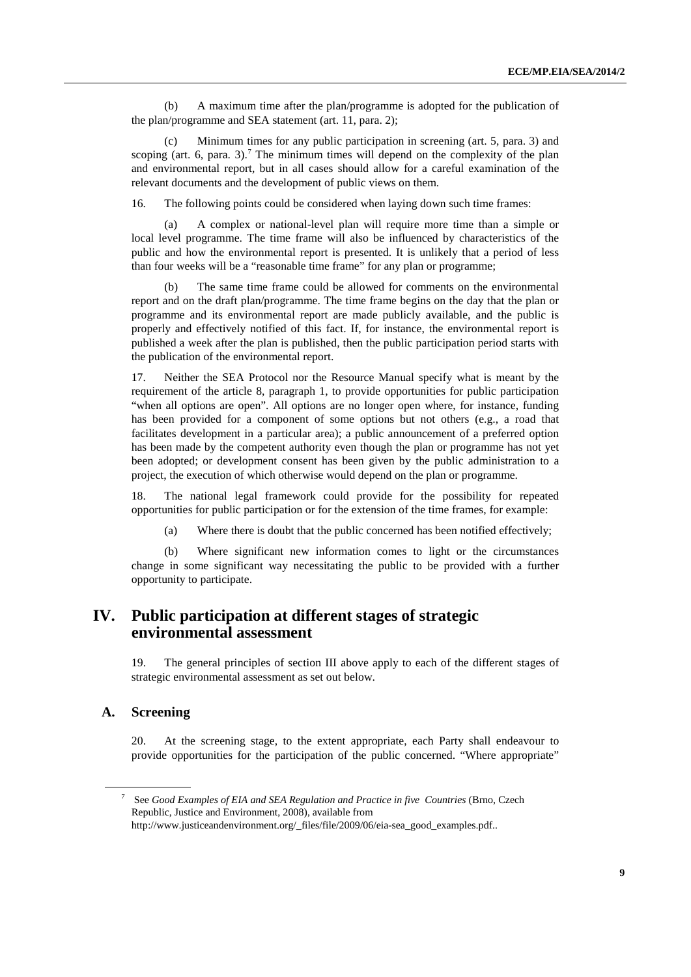(b) A maximum time after the plan/programme is adopted for the publication of the plan/programme and SEA statement (art. 11, para. 2);

Minimum times for any public participation in screening (art. 5, para. 3) and scoping (art. 6, para. 3).<sup>[7](#page-8-0)</sup> The minimum times will depend on the complexity of the plan and environmental report, but in all cases should allow for a careful examination of the relevant documents and the development of public views on them.

16. The following points could be considered when laying down such time frames:

A complex or national-level plan will require more time than a simple or local level programme. The time frame will also be influenced by characteristics of the public and how the environmental report is presented. It is unlikely that a period of less than four weeks will be a "reasonable time frame" for any plan or programme;

(b) The same time frame could be allowed for comments on the environmental report and on the draft plan/programme. The time frame begins on the day that the plan or programme and its environmental report are made publicly available, and the public is properly and effectively notified of this fact. If, for instance, the environmental report is published a week after the plan is published, then the public participation period starts with the publication of the environmental report.

17. Neither the SEA Protocol nor the Resource Manual specify what is meant by the requirement of the article 8, paragraph 1, to provide opportunities for public participation "when all options are open". All options are no longer open where, for instance, funding has been provided for a component of some options but not others (e.g., a road that facilitates development in a particular area); a public announcement of a preferred option has been made by the competent authority even though the plan or programme has not yet been adopted; or development consent has been given by the public administration to a project, the execution of which otherwise would depend on the plan or programme.

18. The national legal framework could provide for the possibility for repeated opportunities for public participation or for the extension of the time frames, for example:

(a) Where there is doubt that the public concerned has been notified effectively;

(b) Where significant new information comes to light or the circumstances change in some significant way necessitating the public to be provided with a further opportunity to participate.

# **IV. Public participation at different stages of strategic environmental assessment**

19. The general principles of section III above apply to each of the different stages of strategic environmental assessment as set out below.

## **A. Screening**

20. At the screening stage, to the extent appropriate, each Party shall endeavour to provide opportunities for the participation of the public concerned. "Where appropriate"

<span id="page-8-0"></span><sup>7</sup> See *Good Examples of EIA and SEA Regulation and Practice in five Countries* (Brno, Czech Republic, Justice and Environment, 2008), available from http://www.justiceandenvironment.org/\_files/file/2009/06/eia-sea\_good\_examples.pdf..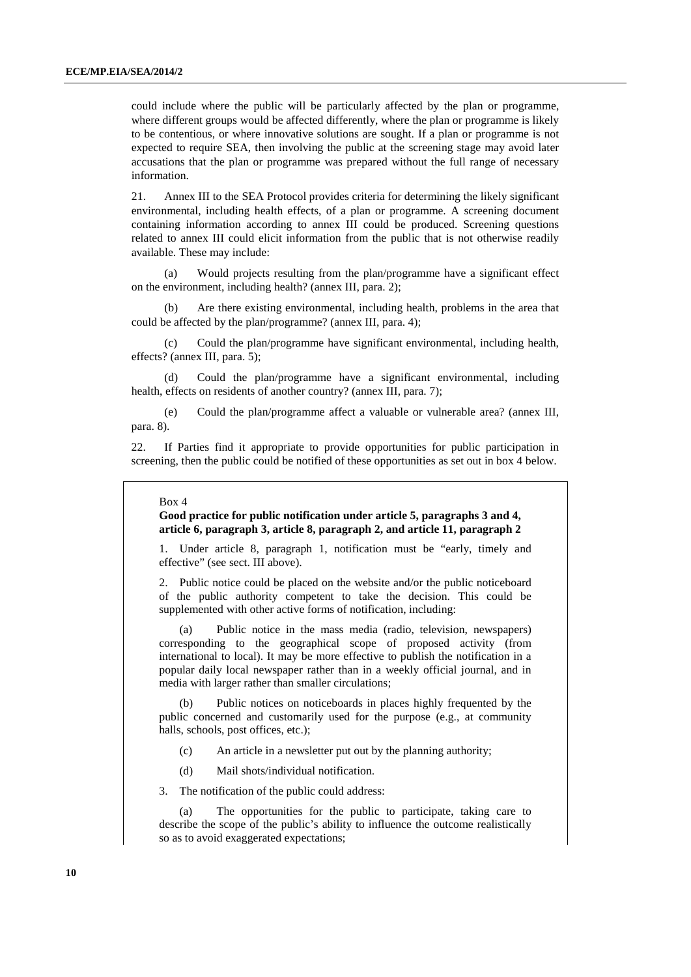could include where the public will be particularly affected by the plan or programme, where different groups would be affected differently, where the plan or programme is likely to be contentious, or where innovative solutions are sought. If a plan or programme is not expected to require SEA, then involving the public at the screening stage may avoid later accusations that the plan or programme was prepared without the full range of necessary information.

21. Annex III to the SEA Protocol provides criteria for determining the likely significant environmental, including health effects, of a plan or programme. A screening document containing information according to annex III could be produced. Screening questions related to annex III could elicit information from the public that is not otherwise readily available. These may include:

(a) Would projects resulting from the plan/programme have a significant effect on the environment, including health? (annex III, para. 2);

(b) Are there existing environmental, including health, problems in the area that could be affected by the plan/programme? (annex III, para. 4);

(c) Could the plan/programme have significant environmental, including health, effects? (annex III, para. 5);

(d) Could the plan/programme have a significant environmental, including health, effects on residents of another country? (annex III, para. 7);

(e) Could the plan/programme affect a valuable or vulnerable area? (annex III, para. 8).

22. If Parties find it appropriate to provide opportunities for public participation in screening, then the public could be notified of these opportunities as set out in box 4 below.

#### Box 4

#### **Good practice for public notification under article 5, paragraphs 3 and 4, article 6, paragraph 3, article 8, paragraph 2, and article 11, paragraph 2**

1. Under article 8, paragraph 1, notification must be "early, timely and effective" (see sect. III above).

2. Public notice could be placed on the website and/or the public noticeboard of the public authority competent to take the decision. This could be supplemented with other active forms of notification, including:

(a) Public notice in the mass media (radio, television, newspapers) corresponding to the geographical scope of proposed activity (from international to local). It may be more effective to publish the notification in a popular daily local newspaper rather than in a weekly official journal, and in media with larger rather than smaller circulations;

(b) Public notices on noticeboards in places highly frequented by the public concerned and customarily used for the purpose (e.g., at community halls, schools, post offices, etc.);

- (c) An article in a newsletter put out by the planning authority;
- (d) Mail shots/individual notification.
- 3. The notification of the public could address:

(a) The opportunities for the public to participate, taking care to describe the scope of the public's ability to influence the outcome realistically so as to avoid exaggerated expectations;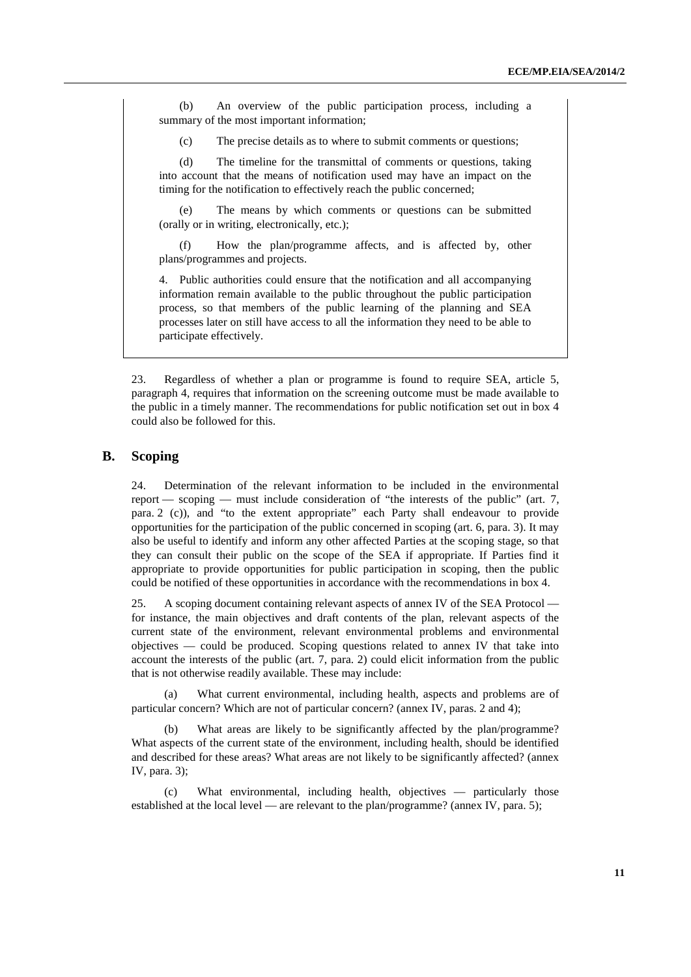(b) An overview of the public participation process, including a summary of the most important information;

(c) The precise details as to where to submit comments or questions;

(d) The timeline for the transmittal of comments or questions, taking into account that the means of notification used may have an impact on the timing for the notification to effectively reach the public concerned;

(e) The means by which comments or questions can be submitted (orally or in writing, electronically, etc.);

(f) How the plan/programme affects, and is affected by, other plans/programmes and projects.

4. Public authorities could ensure that the notification and all accompanying information remain available to the public throughout the public participation process, so that members of the public learning of the planning and SEA processes later on still have access to all the information they need to be able to participate effectively.

23. Regardless of whether a plan or programme is found to require SEA, article 5, paragraph 4, requires that information on the screening outcome must be made available to the public in a timely manner. The recommendations for public notification set out in box 4 could also be followed for this.

## **B. Scoping**

24. Determination of the relevant information to be included in the environmental report — scoping — must include consideration of "the interests of the public" (art. 7, para. 2 (c)), and "to the extent appropriate" each Party shall endeavour to provide opportunities for the participation of the public concerned in scoping (art. 6, para. 3). It may also be useful to identify and inform any other affected Parties at the scoping stage, so that they can consult their public on the scope of the SEA if appropriate. If Parties find it appropriate to provide opportunities for public participation in scoping, then the public could be notified of these opportunities in accordance with the recommendations in box 4.

25. A scoping document containing relevant aspects of annex IV of the SEA Protocol for instance, the main objectives and draft contents of the plan, relevant aspects of the current state of the environment, relevant environmental problems and environmental objectives — could be produced. Scoping questions related to annex IV that take into account the interests of the public (art. 7, para. 2) could elicit information from the public that is not otherwise readily available. These may include:

What current environmental, including health, aspects and problems are of particular concern? Which are not of particular concern? (annex IV, paras. 2 and 4);

(b) What areas are likely to be significantly affected by the plan/programme? What aspects of the current state of the environment, including health, should be identified and described for these areas? What areas are not likely to be significantly affected? (annex IV, para. 3);

(c) What environmental, including health, objectives — particularly those established at the local level — are relevant to the plan/programme? (annex IV, para. 5);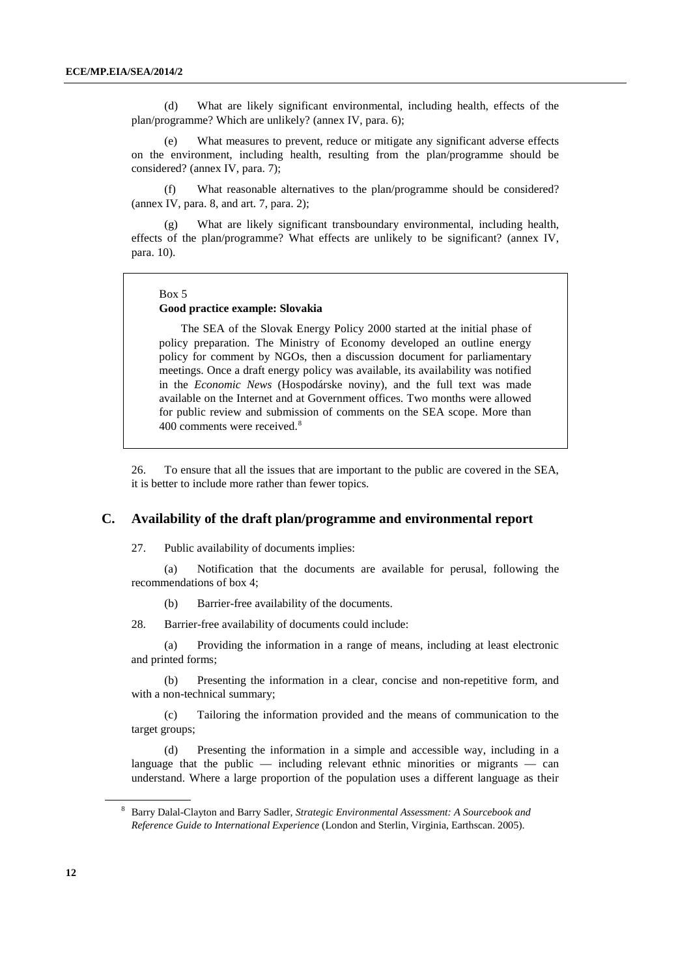(d) What are likely significant environmental, including health, effects of the plan/programme? Which are unlikely? (annex IV, para. 6);

(e) What measures to prevent, reduce or mitigate any significant adverse effects on the environment, including health, resulting from the plan/programme should be considered? (annex IV, para. 7);

(f) What reasonable alternatives to the plan/programme should be considered? (annex IV, para. 8, and art. 7, para. 2);

What are likely significant transboundary environmental, including health, effects of the plan/programme? What effects are unlikely to be significant? (annex IV, para. 10).

#### Box 5

#### **Good practice example: Slovakia**

The SEA of the Slovak Energy Policy 2000 started at the initial phase of policy preparation. The Ministry of Economy developed an outline energy policy for comment by NGOs, then a discussion document for parliamentary meetings. Once a draft energy policy was available, its availability was notified in the *Economic News* (Hospodárske noviny), and the full text was made available on the Internet and at Government offices. Two months were allowed for public review and submission of comments on the SEA scope. More than 400 comments were received.<sup>[8](#page-11-0)</sup>

26. To ensure that all the issues that are important to the public are covered in the SEA, it is better to include more rather than fewer topics.

### **C. Availability of the draft plan/programme and environmental report**

27. Public availability of documents implies:

(a) Notification that the documents are available for perusal, following the recommendations of box 4;

(b) Barrier-free availability of the documents.

28. Barrier-free availability of documents could include:

(a) Providing the information in a range of means, including at least electronic and printed forms;

(b) Presenting the information in a clear, concise and non-repetitive form, and with a non-technical summary;

(c) Tailoring the information provided and the means of communication to the target groups;

(d) Presenting the information in a simple and accessible way, including in a language that the public  $-$  including relevant ethnic minorities or migrants  $-$  can understand. Where a large proportion of the population uses a different language as their

<span id="page-11-0"></span><sup>8</sup> Barry Dalal-Clayton and Barry Sadler, *Strategic Environmental Assessment: A Sourcebook and Reference Guide to International Experience* (London and Sterlin, Virginia, Earthscan. 2005).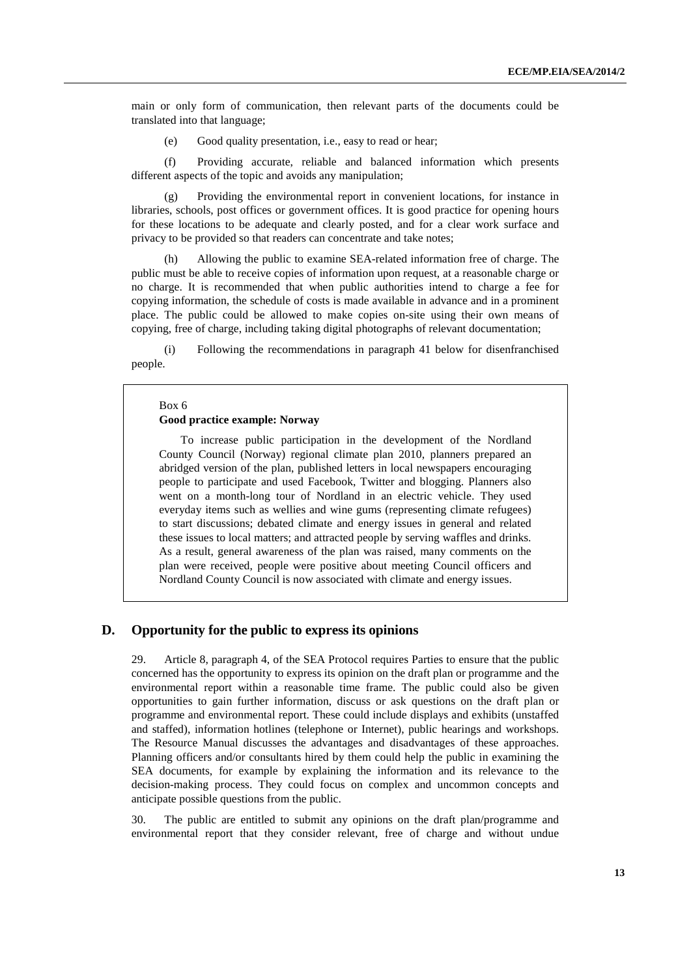main or only form of communication, then relevant parts of the documents could be translated into that language;

(e) Good quality presentation, i.e., easy to read or hear;

(f) Providing accurate, reliable and balanced information which presents different aspects of the topic and avoids any manipulation;

(g) Providing the environmental report in convenient locations, for instance in libraries, schools, post offices or government offices. It is good practice for opening hours for these locations to be adequate and clearly posted, and for a clear work surface and privacy to be provided so that readers can concentrate and take notes;

(h) Allowing the public to examine SEA-related information free of charge. The public must be able to receive copies of information upon request, at a reasonable charge or no charge. It is recommended that when public authorities intend to charge a fee for copying information, the schedule of costs is made available in advance and in a prominent place. The public could be allowed to make copies on-site using their own means of copying, free of charge, including taking digital photographs of relevant documentation;

(i) Following the recommendations in paragraph 41 below for disenfranchised people.

#### $Box 6$

#### **Good practice example: Norway**

To increase public participation in the development of the Nordland County Council (Norway) regional climate plan 2010, planners prepared an abridged version of the plan, published letters in local newspapers encouraging people to participate and used Facebook, Twitter and blogging. Planners also went on a month-long tour of Nordland in an electric vehicle. They used everyday items such as wellies and wine gums (representing climate refugees) to start discussions; debated climate and energy issues in general and related these issues to local matters; and attracted people by serving waffles and drinks. As a result, general awareness of the plan was raised, many comments on the plan were received, people were positive about meeting Council officers and Nordland County Council is now associated with climate and energy issues.

### **D. Opportunity for the public to express its opinions**

29. Article 8, paragraph 4, of the SEA Protocol requires Parties to ensure that the public concerned has the opportunity to express its opinion on the draft plan or programme and the environmental report within a reasonable time frame. The public could also be given opportunities to gain further information, discuss or ask questions on the draft plan or programme and environmental report. These could include displays and exhibits (unstaffed and staffed), information hotlines (telephone or Internet), public hearings and workshops. The Resource Manual discusses the advantages and disadvantages of these approaches. Planning officers and/or consultants hired by them could help the public in examining the SEA documents, for example by explaining the information and its relevance to the decision-making process. They could focus on complex and uncommon concepts and anticipate possible questions from the public.

30. The public are entitled to submit any opinions on the draft plan/programme and environmental report that they consider relevant, free of charge and without undue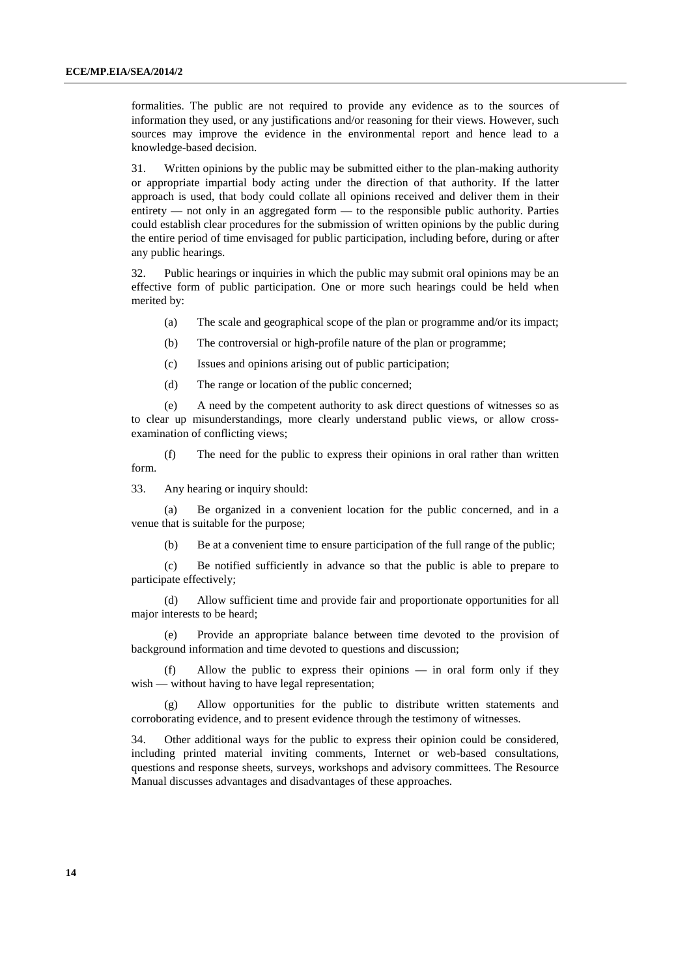formalities. The public are not required to provide any evidence as to the sources of information they used, or any justifications and/or reasoning for their views. However, such sources may improve the evidence in the environmental report and hence lead to a knowledge-based decision.

31. Written opinions by the public may be submitted either to the plan-making authority or appropriate impartial body acting under the direction of that authority. If the latter approach is used, that body could collate all opinions received and deliver them in their entirety — not only in an aggregated form — to the responsible public authority. Parties could establish clear procedures for the submission of written opinions by the public during the entire period of time envisaged for public participation, including before, during or after any public hearings.

32. Public hearings or inquiries in which the public may submit oral opinions may be an effective form of public participation. One or more such hearings could be held when merited by:

- (a) The scale and geographical scope of the plan or programme and/or its impact;
- (b) The controversial or high-profile nature of the plan or programme;
- (c) Issues and opinions arising out of public participation;
- (d) The range or location of the public concerned;

(e) A need by the competent authority to ask direct questions of witnesses so as to clear up misunderstandings, more clearly understand public views, or allow crossexamination of conflicting views;

(f) The need for the public to express their opinions in oral rather than written form.

33. Any hearing or inquiry should:

(a) Be organized in a convenient location for the public concerned, and in a venue that is suitable for the purpose;

(b) Be at a convenient time to ensure participation of the full range of the public;

(c) Be notified sufficiently in advance so that the public is able to prepare to participate effectively;

(d) Allow sufficient time and provide fair and proportionate opportunities for all major interests to be heard;

(e) Provide an appropriate balance between time devoted to the provision of background information and time devoted to questions and discussion;

Allow the public to express their opinions  $-$  in oral form only if they wish — without having to have legal representation;

(g) Allow opportunities for the public to distribute written statements and corroborating evidence, and to present evidence through the testimony of witnesses.

34. Other additional ways for the public to express their opinion could be considered, including printed material inviting comments, Internet or web-based consultations, questions and response sheets, surveys, workshops and advisory committees. The Resource Manual discusses advantages and disadvantages of these approaches.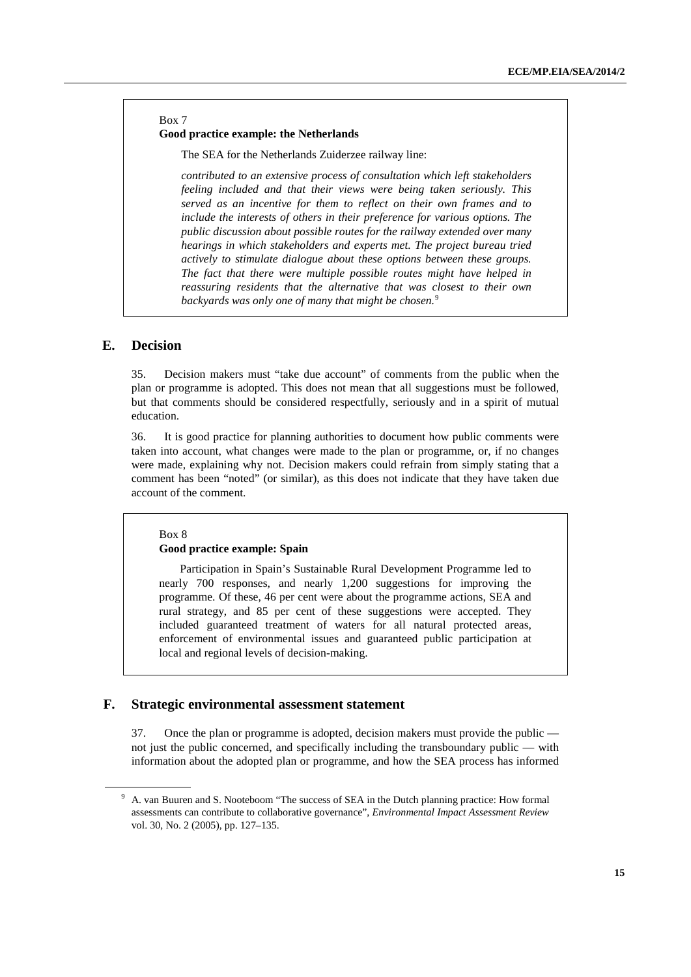### Box 7 **Good practice example: the Netherlands**

The SEA for the Netherlands Zuiderzee railway line:

*contributed to an extensive process of consultation which left stakeholders feeling included and that their views were being taken seriously. This served as an incentive for them to reflect on their own frames and to include the interests of others in their preference for various options. The public discussion about possible routes for the railway extended over many hearings in which stakeholders and experts met. The project bureau tried actively to stimulate dialogue about these options between these groups. The fact that there were multiple possible routes might have helped in reassuring residents that the alternative that was closest to their own backyards was only one of many that might be chosen.*[9](#page-14-0)

## **E. Decision**

35. Decision makers must "take due account" of comments from the public when the plan or programme is adopted. This does not mean that all suggestions must be followed, but that comments should be considered respectfully, seriously and in a spirit of mutual education.

36. It is good practice for planning authorities to document how public comments were taken into account, what changes were made to the plan or programme, or, if no changes were made, explaining why not. Decision makers could refrain from simply stating that a comment has been "noted" (or similar), as this does not indicate that they have taken due account of the comment.

#### Box 8 **Good practice example: Spain**

Participation in Spain's Sustainable Rural Development Programme led to nearly 700 responses, and nearly 1,200 suggestions for improving the programme. Of these, 46 per cent were about the programme actions, SEA and rural strategy, and 85 per cent of these suggestions were accepted. They included guaranteed treatment of waters for all natural protected areas, enforcement of environmental issues and guaranteed public participation at local and regional levels of decision-making.

## **F. Strategic environmental assessment statement**

37. Once the plan or programme is adopted, decision makers must provide the public not just the public concerned, and specifically including the transboundary public — with information about the adopted plan or programme, and how the SEA process has informed

<span id="page-14-0"></span><sup>&</sup>lt;sup>9</sup> A. van Buuren and S. Nooteboom "The success of SEA in the Dutch planning practice: How formal assessments can contribute to collaborative governance", *Environmental Impact Assessment Review* vol. 30, No. 2 (2005), pp. 127–135.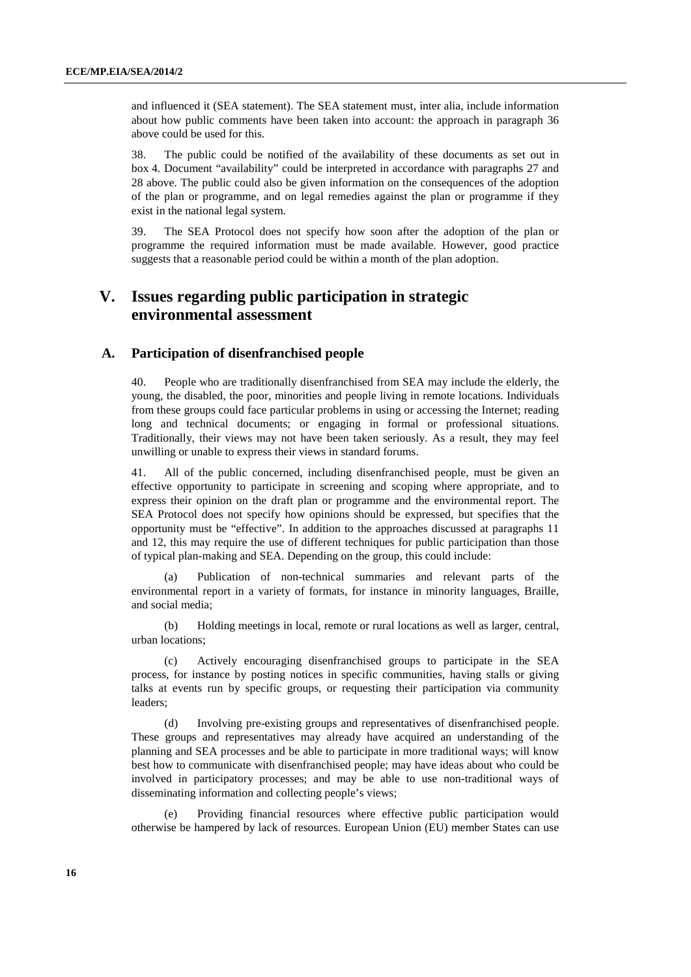and influenced it (SEA statement). The SEA statement must, inter alia, include information about how public comments have been taken into account: the approach in paragraph 36 above could be used for this.

38. The public could be notified of the availability of these documents as set out in box 4. Document "availability" could be interpreted in accordance with paragraphs 27 and 28 above. The public could also be given information on the consequences of the adoption of the plan or programme, and on legal remedies against the plan or programme if they exist in the national legal system.

39. The SEA Protocol does not specify how soon after the adoption of the plan or programme the required information must be made available. However, good practice suggests that a reasonable period could be within a month of the plan adoption.

# **V. Issues regarding public participation in strategic environmental assessment**

## **A. Participation of disenfranchised people**

40. People who are traditionally disenfranchised from SEA may include the elderly, the young, the disabled, the poor, minorities and people living in remote locations. Individuals from these groups could face particular problems in using or accessing the Internet; reading long and technical documents; or engaging in formal or professional situations. Traditionally, their views may not have been taken seriously. As a result, they may feel unwilling or unable to express their views in standard forums.

41. All of the public concerned, including disenfranchised people, must be given an effective opportunity to participate in screening and scoping where appropriate, and to express their opinion on the draft plan or programme and the environmental report. The SEA Protocol does not specify how opinions should be expressed, but specifies that the opportunity must be "effective". In addition to the approaches discussed at paragraphs 11 and 12, this may require the use of different techniques for public participation than those of typical plan-making and SEA. Depending on the group, this could include:

(a) Publication of non-technical summaries and relevant parts of the environmental report in a variety of formats, for instance in minority languages, Braille, and social media;

(b) Holding meetings in local, remote or rural locations as well as larger, central, urban locations;

(c) Actively encouraging disenfranchised groups to participate in the SEA process, for instance by posting notices in specific communities, having stalls or giving talks at events run by specific groups, or requesting their participation via community leaders;

(d) Involving pre-existing groups and representatives of disenfranchised people. These groups and representatives may already have acquired an understanding of the planning and SEA processes and be able to participate in more traditional ways; will know best how to communicate with disenfranchised people; may have ideas about who could be involved in participatory processes; and may be able to use non-traditional ways of disseminating information and collecting people's views;

(e) Providing financial resources where effective public participation would otherwise be hampered by lack of resources. European Union (EU) member States can use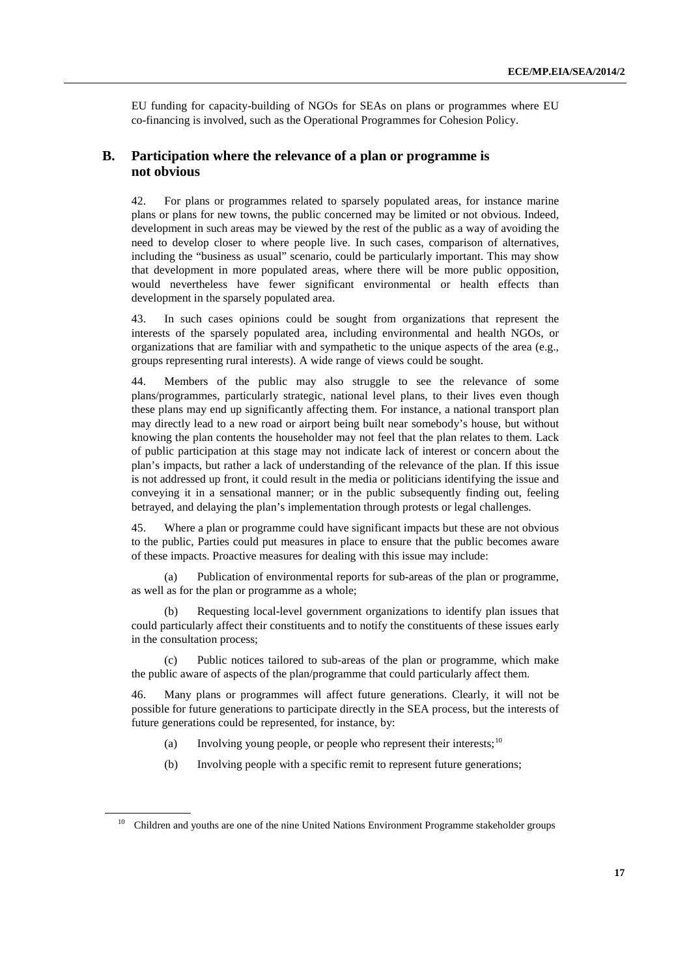EU funding for capacity-building of NGOs for SEAs on plans or programmes where EU co-financing is involved, such as the Operational Programmes for Cohesion Policy.

## **B. Participation where the relevance of a plan or programme is not obvious**

42. For plans or programmes related to sparsely populated areas, for instance marine plans or plans for new towns, the public concerned may be limited or not obvious. Indeed, development in such areas may be viewed by the rest of the public as a way of avoiding the need to develop closer to where people live. In such cases, comparison of alternatives, including the "business as usual" scenario, could be particularly important. This may show that development in more populated areas, where there will be more public opposition, would nevertheless have fewer significant environmental or health effects than development in the sparsely populated area.

43. In such cases opinions could be sought from organizations that represent the interests of the sparsely populated area, including environmental and health NGOs, or organizations that are familiar with and sympathetic to the unique aspects of the area (e.g., groups representing rural interests). A wide range of views could be sought.

Members of the public may also struggle to see the relevance of some plans/programmes, particularly strategic, national level plans, to their lives even though these plans may end up significantly affecting them. For instance, a national transport plan may directly lead to a new road or airport being built near somebody's house, but without knowing the plan contents the householder may not feel that the plan relates to them. Lack of public participation at this stage may not indicate lack of interest or concern about the plan's impacts, but rather a lack of understanding of the relevance of the plan. If this issue is not addressed up front, it could result in the media or politicians identifying the issue and conveying it in a sensational manner; or in the public subsequently finding out, feeling betrayed, and delaying the plan's implementation through protests or legal challenges.

45. Where a plan or programme could have significant impacts but these are not obvious to the public, Parties could put measures in place to ensure that the public becomes aware of these impacts. Proactive measures for dealing with this issue may include:

(a) Publication of environmental reports for sub-areas of the plan or programme, as well as for the plan or programme as a whole;

Requesting local-level government organizations to identify plan issues that could particularly affect their constituents and to notify the constituents of these issues early in the consultation process;

(c) Public notices tailored to sub-areas of the plan or programme, which make the public aware of aspects of the plan/programme that could particularly affect them.

46. Many plans or programmes will affect future generations. Clearly, it will not be possible for future generations to participate directly in the SEA process, but the interests of future generations could be represented, for instance, by:

- (a) Involving young people, or people who represent their interests;<sup>[10](#page-16-0)</sup>
- (b) Involving people with a specific remit to represent future generations;

<span id="page-16-0"></span><sup>&</sup>lt;sup>10</sup> Children and youths are one of the nine United Nations Environment Programme stakeholder groups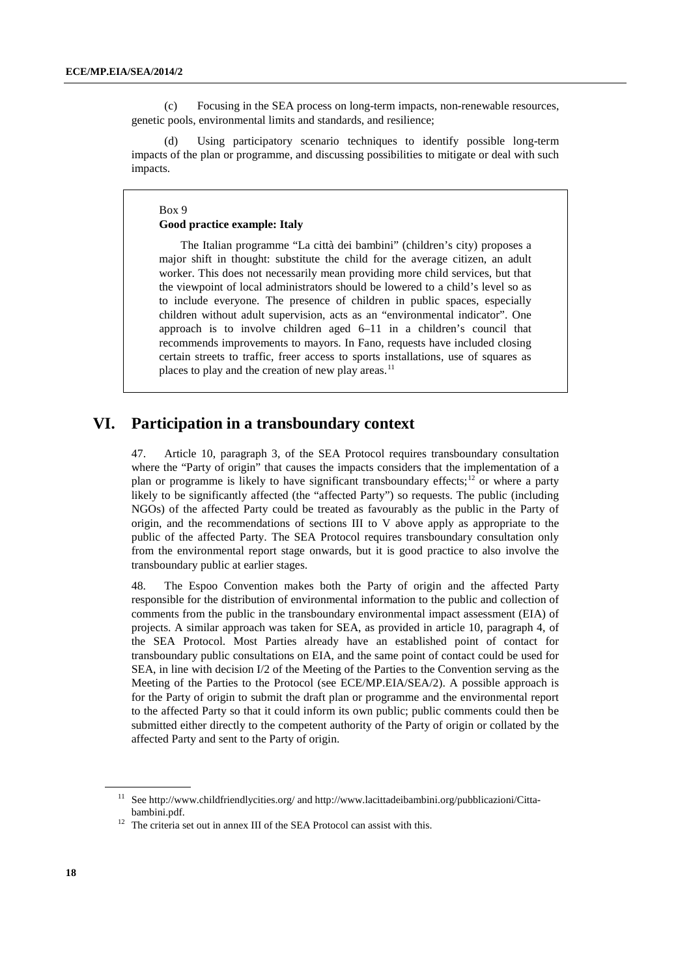(c) Focusing in the SEA process on long-term impacts, non-renewable resources, genetic pools, environmental limits and standards, and resilience;

(d) Using participatory scenario techniques to identify possible long-term impacts of the plan or programme, and discussing possibilities to mitigate or deal with such impacts.

#### Box 9 **Good practice example: Italy**

The Italian programme "La città dei bambini" (children's city) proposes a major shift in thought: substitute the child for the average citizen, an adult worker. This does not necessarily mean providing more child services, but that the viewpoint of local administrators should be lowered to a child's level so as to include everyone. The presence of children in public spaces, especially children without adult supervision, acts as an "environmental indicator". One approach is to involve children aged 6–11 in a children's council that recommends improvements to mayors. In Fano, requests have included closing certain streets to traffic, freer access to sports installations, use of squares as places to play and the creation of new play areas.<sup>[11](#page-17-0)</sup>

# **VI. Participation in a transboundary context**

47. Article 10, paragraph 3, of the SEA Protocol requires transboundary consultation where the "Party of origin" that causes the impacts considers that the implementation of a plan or programme is likely to have significant transboundary effects;<sup>[12](#page-17-0)</sup> or where a party likely to be significantly affected (the "affected Party") so requests. The public (including NGOs) of the affected Party could be treated as favourably as the public in the Party of origin, and the recommendations of sections III to V above apply as appropriate to the public of the affected Party. The SEA Protocol requires transboundary consultation only from the environmental report stage onwards, but it is good practice to also involve the transboundary public at earlier stages.

48. The Espoo Convention makes both the Party of origin and the affected Party responsible for the distribution of environmental information to the public and collection of comments from the public in the transboundary environmental impact assessment (EIA) of projects. A similar approach was taken for SEA, as provided in article 10, paragraph 4, of the SEA Protocol. Most Parties already have an established point of contact for transboundary public consultations on EIA, and the same point of contact could be used for SEA, in line with decision I/2 of the Meeting of the Parties to the Convention serving as the Meeting of the Parties to the Protocol (see ECE/MP.EIA/SEA/2). A possible approach is for the Party of origin to submit the draft plan or programme and the environmental report to the affected Party so that it could inform its own public; public comments could then be submitted either directly to the competent authority of the Party of origin or collated by the affected Party and sent to the Party of origin.

<sup>&</sup>lt;sup>11</sup> Se[e http://www.childfriendlycities.org/](http://www.childfriendlycities.org/) and [http://www.lacittadeibambini.org/pubblicazioni/Citta](http://www.lacittadeibambini.org/pubblicazioni/Citta-bambini.pdf)[bambini.pdf.](http://www.lacittadeibambini.org/pubblicazioni/Citta-bambini.pdf)

<span id="page-17-0"></span><sup>&</sup>lt;sup>12</sup> The criteria set out in annex III of the SEA Protocol can assist with this.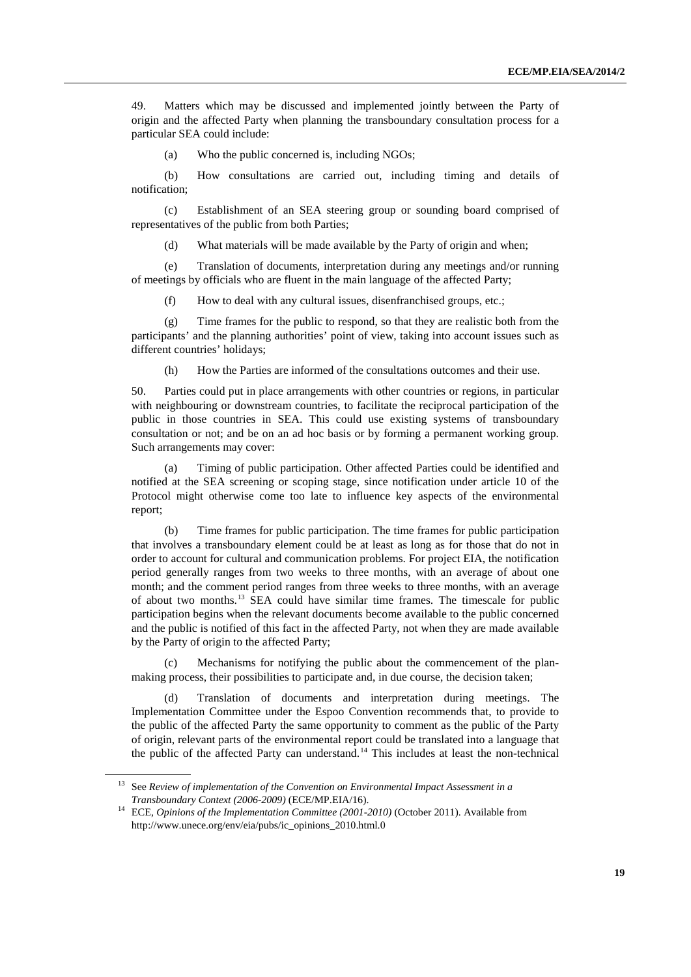49. Matters which may be discussed and implemented jointly between the Party of origin and the affected Party when planning the transboundary consultation process for a particular SEA could include:

(a) Who the public concerned is, including NGOs;

(b) How consultations are carried out, including timing and details of notification;

(c) Establishment of an SEA steering group or sounding board comprised of representatives of the public from both Parties;

(d) What materials will be made available by the Party of origin and when;

(e) Translation of documents, interpretation during any meetings and/or running of meetings by officials who are fluent in the main language of the affected Party;

(f) How to deal with any cultural issues, disenfranchised groups, etc.;

(g) Time frames for the public to respond, so that they are realistic both from the participants' and the planning authorities' point of view, taking into account issues such as different countries' holidays;

(h) How the Parties are informed of the consultations outcomes and their use.

50. Parties could put in place arrangements with other countries or regions, in particular with neighbouring or downstream countries, to facilitate the reciprocal participation of the public in those countries in SEA. This could use existing systems of transboundary consultation or not; and be on an ad hoc basis or by forming a permanent working group. Such arrangements may cover:

(a) Timing of public participation. Other affected Parties could be identified and notified at the SEA screening or scoping stage, since notification under article 10 of the Protocol might otherwise come too late to influence key aspects of the environmental report;

(b) Time frames for public participation. The time frames for public participation that involves a transboundary element could be at least as long as for those that do not in order to account for cultural and communication problems. For project EIA, the notification period generally ranges from two weeks to three months, with an average of about one month; and the comment period ranges from three weeks to three months, with an average of about two months.[13](#page-18-0) SEA could have similar time frames. The timescale for public participation begins when the relevant documents become available to the public concerned and the public is notified of this fact in the affected Party, not when they are made available by the Party of origin to the affected Party;

(c) Mechanisms for notifying the public about the commencement of the planmaking process, their possibilities to participate and, in due course, the decision taken;

(d) Translation of documents and interpretation during meetings. The Implementation Committee under the Espoo Convention recommends that, to provide to the public of the affected Party the same opportunity to comment as the public of the Party of origin, relevant parts of the environmental report could be translated into a language that the public of the affected Party can understand.<sup>[14](#page-18-0)</sup> This includes at least the non-technical

<sup>&</sup>lt;sup>13</sup> See *Review of implementation of the Convention on Environmental Impact Assessment in a Transboundary Context (2006-2009)* (ECE/MP.EIA/16).

<span id="page-18-0"></span><sup>&</sup>lt;sup>14</sup> ECE, *Opinions of the Implementation Committee (2001-2010)* (October 2011). Available from http://www.unece.org/env/eia/pubs/ic\_opinions\_2010.html.0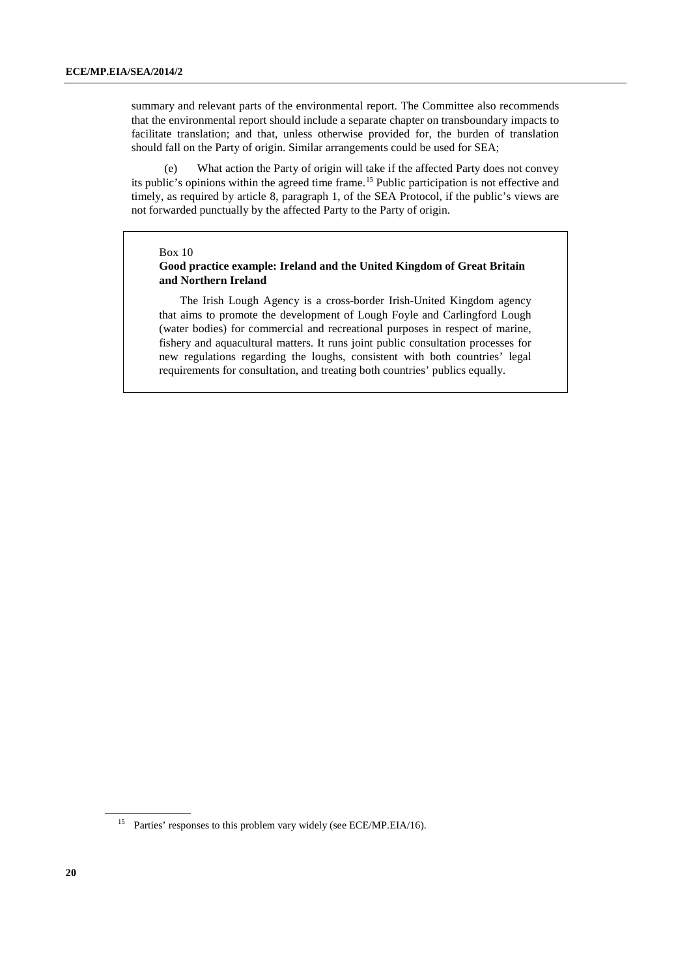summary and relevant parts of the environmental report. The Committee also recommends that the environmental report should include a separate chapter on transboundary impacts to facilitate translation; and that, unless otherwise provided for, the burden of translation should fall on the Party of origin. Similar arrangements could be used for SEA;

(e) What action the Party of origin will take if the affected Party does not convey its public's opinions within the agreed time frame.<sup>[15](#page-19-0)</sup> Public participation is not effective and timely, as required by article 8, paragraph 1, of the SEA Protocol, if the public's views are not forwarded punctually by the affected Party to the Party of origin.

#### Box 10

### **Good practice example: Ireland and the United Kingdom of Great Britain and Northern Ireland**

The Irish Lough Agency is a cross-border Irish-United Kingdom agency that aims to promote the development of Lough Foyle and Carlingford Lough (water bodies) for commercial and recreational purposes in respect of marine, fishery and aquacultural matters. It runs joint public consultation processes for new regulations regarding the loughs, consistent with both countries' legal requirements for consultation, and treating both countries' publics equally.

<span id="page-19-0"></span><sup>&</sup>lt;sup>15</sup> Parties' responses to this problem vary widely (see ECE/MP.EIA/16).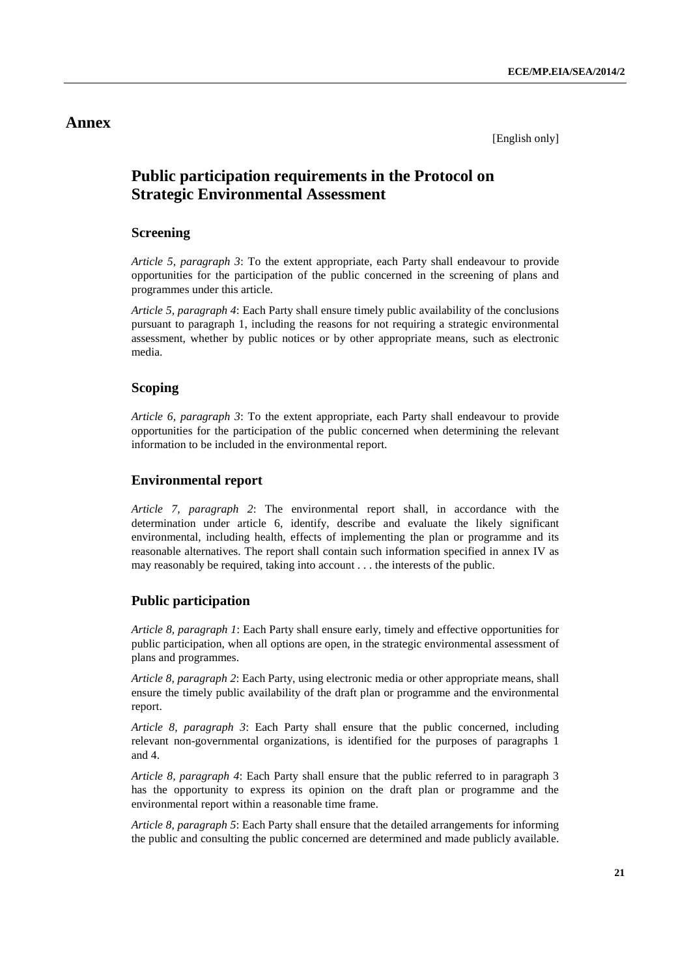# **Annex**

[English only]

# **Public participation requirements in the Protocol on Strategic Environmental Assessment**

# **Screening**

*Article 5, paragraph 3*: To the extent appropriate, each Party shall endeavour to provide opportunities for the participation of the public concerned in the screening of plans and programmes under this article.

*Article 5, paragraph 4*: Each Party shall ensure timely public availability of the conclusions pursuant to paragraph 1, including the reasons for not requiring a strategic environmental assessment, whether by public notices or by other appropriate means, such as electronic media.

# **Scoping**

*Article 6, paragraph 3*: To the extent appropriate, each Party shall endeavour to provide opportunities for the participation of the public concerned when determining the relevant information to be included in the environmental report.

# **Environmental report**

*Article 7, paragraph 2*: The environmental report shall, in accordance with the determination under article 6, identify, describe and evaluate the likely significant environmental, including health, effects of implementing the plan or programme and its reasonable alternatives. The report shall contain such information specified in annex IV as may reasonably be required, taking into account . . . the interests of the public.

# **Public participation**

*Article 8, paragraph 1*: Each Party shall ensure early, timely and effective opportunities for public participation, when all options are open, in the strategic environmental assessment of plans and programmes.

*Article 8, paragraph 2*: Each Party, using electronic media or other appropriate means, shall ensure the timely public availability of the draft plan or programme and the environmental report.

*Article 8, paragraph 3*: Each Party shall ensure that the public concerned, including relevant non-governmental organizations, is identified for the purposes of paragraphs 1 and 4.

*Article 8, paragraph 4*: Each Party shall ensure that the public referred to in paragraph 3 has the opportunity to express its opinion on the draft plan or programme and the environmental report within a reasonable time frame.

*Article 8, paragraph 5*: Each Party shall ensure that the detailed arrangements for informing the public and consulting the public concerned are determined and made publicly available.